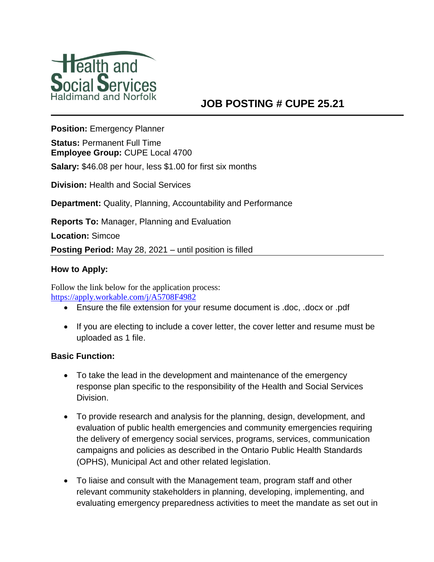

# **JOB POSTING # CUPE 25.21**

**Position:** Emergency Planner

**Status:** Permanent Full Time **Employee Group:** CUPE Local 4700

**Salary:** \$46.08 per hour, less \$1.00 for first six months

**Division:** Health and Social Services

**Department:** Quality, Planning, Accountability and Performance

**Reports To:** Manager, Planning and Evaluation

**Location:** Simcoe

**Posting Period:** May 28, 2021 – until position is filled

### **How to Apply:**

Follow the link below for the application process: <https://apply.workable.com/j/A5708F4982>

- Ensure the file extension for your resume document is .doc, .docx or .pdf
- If you are electing to include a cover letter, the cover letter and resume must be uploaded as 1 file.

### **Basic Function:**

- To take the lead in the development and maintenance of the emergency response plan specific to the responsibility of the Health and Social Services Division.
- To provide research and analysis for the planning, design, development, and evaluation of public health emergencies and community emergencies requiring the delivery of emergency social services, programs, services, communication campaigns and policies as described in the Ontario Public Health Standards (OPHS), Municipal Act and other related legislation.
- To liaise and consult with the Management team, program staff and other relevant community stakeholders in planning, developing, implementing, and evaluating emergency preparedness activities to meet the mandate as set out in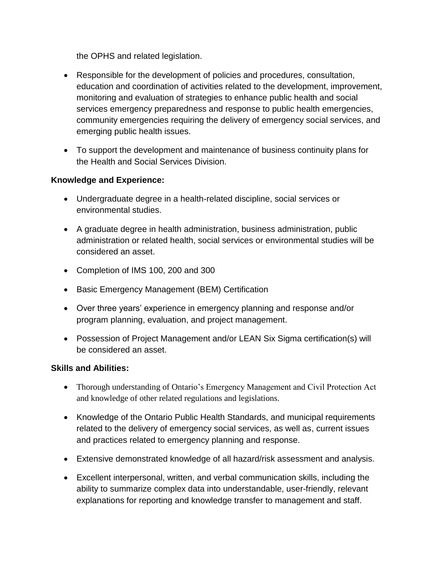the OPHS and related legislation.

- Responsible for the development of policies and procedures, consultation, education and coordination of activities related to the development, improvement, monitoring and evaluation of strategies to enhance public health and social services emergency preparedness and response to public health emergencies, community emergencies requiring the delivery of emergency social services, and emerging public health issues.
- To support the development and maintenance of business continuity plans for the Health and Social Services Division.

# **Knowledge and Experience:**

- Undergraduate degree in a health-related discipline, social services or environmental studies.
- A graduate degree in health administration, business administration, public administration or related health, social services or environmental studies will be considered an asset.
- Completion of IMS 100, 200 and 300
- Basic Emergency Management (BEM) Certification
- Over three years' experience in emergency planning and response and/or program planning, evaluation, and project management.
- Possession of Project Management and/or LEAN Six Sigma certification(s) will be considered an asset.

# **Skills and Abilities:**

- Thorough understanding of Ontario's Emergency Management and Civil Protection Act and knowledge of other related regulations and legislations.
- Knowledge of the Ontario Public Health Standards, and municipal requirements related to the delivery of emergency social services, as well as, current issues and practices related to emergency planning and response.
- Extensive demonstrated knowledge of all hazard/risk assessment and analysis.
- Excellent interpersonal, written, and verbal communication skills, including the ability to summarize complex data into understandable, user-friendly, relevant explanations for reporting and knowledge transfer to management and staff.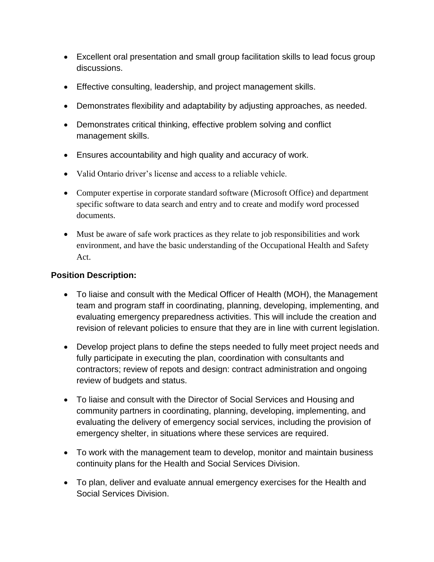- Excellent oral presentation and small group facilitation skills to lead focus group discussions.
- Effective consulting, leadership, and project management skills.
- Demonstrates flexibility and adaptability by adjusting approaches, as needed.
- Demonstrates critical thinking, effective problem solving and conflict management skills.
- Ensures accountability and high quality and accuracy of work.
- Valid Ontario driver's license and access to a reliable vehicle.
- Computer expertise in corporate standard software (Microsoft Office) and department specific software to data search and entry and to create and modify word processed documents.
- Must be aware of safe work practices as they relate to job responsibilities and work environment, and have the basic understanding of the Occupational Health and Safety Act.

# **Position Description:**

- To liaise and consult with the Medical Officer of Health (MOH), the Management team and program staff in coordinating, planning, developing, implementing, and evaluating emergency preparedness activities. This will include the creation and revision of relevant policies to ensure that they are in line with current legislation.
- Develop project plans to define the steps needed to fully meet project needs and fully participate in executing the plan, coordination with consultants and contractors; review of repots and design: contract administration and ongoing review of budgets and status.
- To liaise and consult with the Director of Social Services and Housing and community partners in coordinating, planning, developing, implementing, and evaluating the delivery of emergency social services, including the provision of emergency shelter, in situations where these services are required.
- To work with the management team to develop, monitor and maintain business continuity plans for the Health and Social Services Division.
- To plan, deliver and evaluate annual emergency exercises for the Health and Social Services Division.